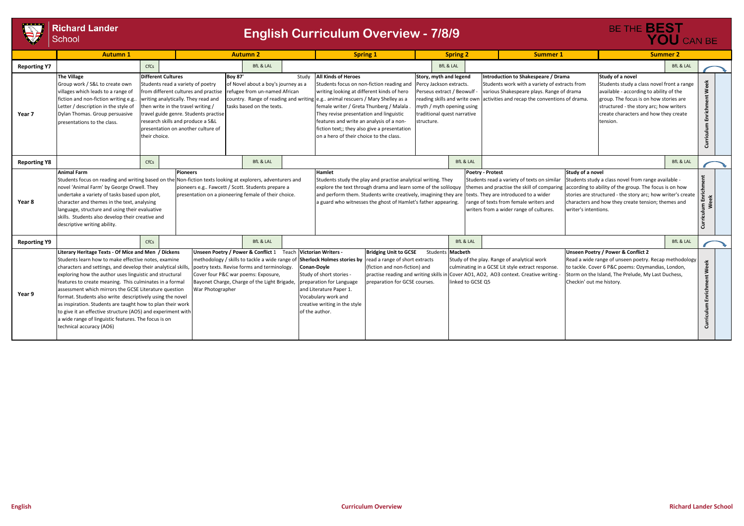

## Richard Lander<br>School

|                  |                                                   |                         |                                                                                                                                                                                                                             |                          | BE THE <b>BEST</b>                                                                                                                                                                                                                                                                    | YOU CAN BE                 |                            |  |  |  |
|------------------|---------------------------------------------------|-------------------------|-----------------------------------------------------------------------------------------------------------------------------------------------------------------------------------------------------------------------------|--------------------------|---------------------------------------------------------------------------------------------------------------------------------------------------------------------------------------------------------------------------------------------------------------------------------------|----------------------------|----------------------------|--|--|--|
| ing 2            |                                                   |                         | <b>Summer 1</b>                                                                                                                                                                                                             |                          | <b>Summer 2</b>                                                                                                                                                                                                                                                                       |                            |                            |  |  |  |
| L                |                                                   |                         |                                                                                                                                                                                                                             |                          |                                                                                                                                                                                                                                                                                       | <b>BfL &amp; LAL</b>       |                            |  |  |  |
| legend<br>racts. | Beowulf -<br>write own<br>ning using<br>narrative |                         | Introduction to Shakespeare / Drama<br>Students work with a variety of extracts from<br>various Shakespeare plays. Range of drama<br>activities and recap the conventions of drama.                                         |                          | Study of a novel<br>Students study a class novel front a range<br>available - according to ability of the<br>group. The focus is on how stories are<br>structured - the story arc; how writers<br>create characters and how they create<br>tension.                                   |                            | Curriculum Enrichment Week |  |  |  |
|                  | <b>BfL &amp; LAL</b>                              |                         |                                                                                                                                                                                                                             |                          |                                                                                                                                                                                                                                                                                       |                            |                            |  |  |  |
| uy<br>g.         |                                                   | <b>Poetry - Protest</b> | Students read a variety of texts on similar<br>themes and practise the skill of comparing<br>are texts. They are introduced to a wider<br>range of texts from female writers and<br>writers from a wider range of cultures. |                          | <b>Study of a novel</b><br>Students study a class novel from range available -<br>according to ability of the group. The focus is on how<br>stories are structured - the story arc; how writer's create<br>characters and how they create tension; themes and<br>writer's intentions. |                            |                            |  |  |  |
|                  | <b>BfL &amp; LAL</b>                              |                         |                                                                                                                                                                                                                             |                          | <b>BfL &amp; LAL</b>                                                                                                                                                                                                                                                                  |                            |                            |  |  |  |
| acbeth           | ked to GCSE Q5                                    |                         | dy of the play. Range of analytical work<br>minating in a GCSE Lit style extract response.<br>ver AO1, AO2, AO3 context. Creative writing -                                                                                 | Checkin' out me history. | Unseen Poetry / Power & Conflict 2<br>Read a wide range of unseen poetry. Recap methodology<br>to tackle. Cover 6 P&C poems: Ozymandias, London,<br>Storm on the Island, The Prelude, My Last Duchess,                                                                                | Curriculum Enrichment Week |                            |  |  |  |

|                     | <b>Autumn 1</b>                                                                                                                                                                                                                                                                                                                                                                                                                                                                                                                                                                                                                                                                                                                                                                                                                                                                                                                                                               |               |                                                                                                                                                                                                                                                                                                                                                                                                                                | <b>Autumn 2</b>      |                                                                                                                                                                          |                                                                                                                                                                                                                                                                                                                                                                                                                                                                                                                                                                                                                                                                                                                                            |                                                                                                                                                                                                                                                                                                                                                                                                                                      | <b>Spring 1</b>                                                                                                                                                                            |  | <b>Spring 2</b><br><b>Summer 1</b>                                                                                                                       |                                                                                                                                                                        | <b>Summer 2</b>                                                                                                                                                                                                                             |                      |                                                                                                                                                                                                                                                    |                      |
|---------------------|-------------------------------------------------------------------------------------------------------------------------------------------------------------------------------------------------------------------------------------------------------------------------------------------------------------------------------------------------------------------------------------------------------------------------------------------------------------------------------------------------------------------------------------------------------------------------------------------------------------------------------------------------------------------------------------------------------------------------------------------------------------------------------------------------------------------------------------------------------------------------------------------------------------------------------------------------------------------------------|---------------|--------------------------------------------------------------------------------------------------------------------------------------------------------------------------------------------------------------------------------------------------------------------------------------------------------------------------------------------------------------------------------------------------------------------------------|----------------------|--------------------------------------------------------------------------------------------------------------------------------------------------------------------------|--------------------------------------------------------------------------------------------------------------------------------------------------------------------------------------------------------------------------------------------------------------------------------------------------------------------------------------------------------------------------------------------------------------------------------------------------------------------------------------------------------------------------------------------------------------------------------------------------------------------------------------------------------------------------------------------------------------------------------------------|--------------------------------------------------------------------------------------------------------------------------------------------------------------------------------------------------------------------------------------------------------------------------------------------------------------------------------------------------------------------------------------------------------------------------------------|--------------------------------------------------------------------------------------------------------------------------------------------------------------------------------------------|--|----------------------------------------------------------------------------------------------------------------------------------------------------------|------------------------------------------------------------------------------------------------------------------------------------------------------------------------|---------------------------------------------------------------------------------------------------------------------------------------------------------------------------------------------------------------------------------------------|----------------------|----------------------------------------------------------------------------------------------------------------------------------------------------------------------------------------------------------------------------------------------------|----------------------|
| <b>Reporting Y7</b> | CfCs                                                                                                                                                                                                                                                                                                                                                                                                                                                                                                                                                                                                                                                                                                                                                                                                                                                                                                                                                                          |               |                                                                                                                                                                                                                                                                                                                                                                                                                                | <b>BfL &amp; LAL</b> |                                                                                                                                                                          |                                                                                                                                                                                                                                                                                                                                                                                                                                                                                                                                                                                                                                                                                                                                            |                                                                                                                                                                                                                                                                                                                                                                                                                                      | <b>BfL &amp; LAL</b>                                                                                                                                                                       |  |                                                                                                                                                          |                                                                                                                                                                        |                                                                                                                                                                                                                                             | <b>BfL &amp; LAL</b> |                                                                                                                                                                                                                                                    |                      |
| Year 7              | <b>The Village</b><br>Group work / S&L to create own<br>villages which leads to a range of<br>fiction and non-fiction writing e.g.<br>Letter / description in the style of<br>Dylan Thomas. Group persuasive<br>presentations to the class.                                                                                                                                                                                                                                                                                                                                                                                                                                                                                                                                                                                                                                                                                                                                   | their choice. | <b>Different Cultures</b><br><b>Boy 87'</b><br>Students read a variety of poetry<br>of Novel about a boy's journey as a<br>from different cultures and practise<br>refugee from un-named African<br>writing analytically. They read and<br>then write in the travel writing /<br>tasks based on the texts.<br>travel guide genre. Students practise<br>research skills and produce a S&L<br>presentation on another culture of |                      |                                                                                                                                                                          | Study                                                                                                                                                                                                                                                                                                                                                                                                                                                                                                                                                                                                                                                                                                                                      | <b>All Kinds of Heroes</b><br>Students focus on non-fiction reading and<br>writing looking at different kinds of hero<br>country. Range of reading and writing e.g. animal rescuers / Mary Shelley as a<br>female writer / Greta Thunberg / Malala<br>They revise presentation and linguistic<br>features and write an analysis of a non-<br>fiction text;; they also give a presentation<br>on a hero of their choice to the class. |                                                                                                                                                                                            |  | Story, myth and legend<br>Percy Jackson extracts.<br>Perseus extract / Beowulf<br>myth / myth opening using<br>traditional quest narrative<br>structure. |                                                                                                                                                                        | Introduction to Shakespeare / Drama<br>Students work with a variety of extracts from<br>various Shakespeare plays. Range of drama<br>reading skills and write own activities and recap the conventions of drama.                            |                      | Study of a novel<br>Students study a class novel front a rang<br>available - according to ability of the<br>group. The focus is on how stories are<br>structured - the story arc; how writers<br>create characters and how they create<br>tension. |                      |
| <b>Reporting Y8</b> |                                                                                                                                                                                                                                                                                                                                                                                                                                                                                                                                                                                                                                                                                                                                                                                                                                                                                                                                                                               | CfCs          |                                                                                                                                                                                                                                                                                                                                                                                                                                |                      | <b>BfL &amp; LAL</b>                                                                                                                                                     |                                                                                                                                                                                                                                                                                                                                                                                                                                                                                                                                                                                                                                                                                                                                            |                                                                                                                                                                                                                                                                                                                                                                                                                                      |                                                                                                                                                                                            |  | <b>BfL &amp; LAL</b>                                                                                                                                     |                                                                                                                                                                        |                                                                                                                                                                                                                                             |                      |                                                                                                                                                                                                                                                    | <b>BfL &amp; LAL</b> |
| Year 8              | <b>Animal Farm</b><br><b>Pioneers</b><br>Students focus on reading and writing based on the Non-fiction texts looking at explorers, adventurers and<br>novel 'Animal Farm' by George Orwell. They<br>undertake a variety of tasks based upon plot,<br>character and themes in the text, analysing<br>language, structure and using their evaluative<br>skills. Students also develop their creative and<br>descriptive writing ability.                                                                                                                                                                                                                                                                                                                                                                                                                                                                                                                                       |               |                                                                                                                                                                                                                                                                                                                                                                                                                                |                      |                                                                                                                                                                          | Poetry - Protest<br>Study of a novel<br>Hamlet<br>Students study the play and practise analytical writing. They<br>Students read a variety of texts on similar<br>pioneers e.g Fawcett / Scott. Students prepare a<br>explore the text through drama and learn some of the soliloquy<br>themes and practise the skill of comparing according to ability of the group. The focus is on how<br>and perform them. Students write creatively, imagining they are<br>presentation on a pioneering female of their choice.<br>texts. They are introduced to a wider<br>a guard who witnesses the ghost of Hamlet's father appearing.<br>ange of texts from female writers and<br>writers from a wider range of cultures.<br>writer's intentions. |                                                                                                                                                                                                                                                                                                                                                                                                                                      |                                                                                                                                                                                            |  |                                                                                                                                                          | Students study a class novel from range available -<br>stories are structured - the story arc; how writer's crea<br>characters and how they create tension; themes and |                                                                                                                                                                                                                                             |                      |                                                                                                                                                                                                                                                    |                      |
| <b>Reporting Y9</b> |                                                                                                                                                                                                                                                                                                                                                                                                                                                                                                                                                                                                                                                                                                                                                                                                                                                                                                                                                                               | CfCs          |                                                                                                                                                                                                                                                                                                                                                                                                                                |                      | <b>BfL &amp; LAL</b>                                                                                                                                                     |                                                                                                                                                                                                                                                                                                                                                                                                                                                                                                                                                                                                                                                                                                                                            |                                                                                                                                                                                                                                                                                                                                                                                                                                      |                                                                                                                                                                                            |  | <b>BfL &amp; LAL</b>                                                                                                                                     |                                                                                                                                                                        |                                                                                                                                                                                                                                             |                      |                                                                                                                                                                                                                                                    | <b>BfL &amp; LAL</b> |
| Year 9              | Unseen Poetry / Power & Conflict 1 Teach Victorian Writers -<br>Literary Heritage Texts - Of Mice and Men / Dickens<br>Students learn how to make effective notes, examine<br>methodology / skills to tackle a wide range of Sherlock Holmes stories by read a range of short extracts<br>poetry texts. Revise forms and terminology.<br>characters and settings, and develop their analytical skills<br>Cover four P&C war poems: Exposure,<br>exploring how the author uses linguistic and structural<br>Bayonet Charge, Charge of the Light Brigade,<br>features to create meaning. This culminates in a formal<br>assessment which mirrors the GCSE Literature question<br>War Photographer<br>format. Students also write descriptively using the novel<br>as inspiration. Students are taught how to plan their work<br>to give it an effective structure (AO5) and experiment with<br>a wide range of linguistic features. The focus is on<br>technical accuracy (AO6) |               |                                                                                                                                                                                                                                                                                                                                                                                                                                |                      | Conan-Doyle<br>Study of short stories -<br>preparation for Language<br>and Literature Paper 1.<br>Vocabulary work and<br>creative writing in the style<br>of the author. | <b>Bridging Unit to GCSE</b><br>(fiction and non-fiction) and<br>practise reading and writing skills ir<br>preparation for GCSE courses.                                                                                                                                                                                                                                                                                                                                                                                                                                                                                                                                                                                                   |                                                                                                                                                                                                                                                                                                                                                                                                                                      | Students Macbeth<br>Study of the play. Range of analytical work<br>culminating in a GCSE Lit style extract response.<br>Cover AO1, AO2, AO3 context. Creative writing<br>linked to GCSE Q5 |  |                                                                                                                                                          |                                                                                                                                                                        | <b>Unseen Poetry / Power &amp; Conflict 2</b><br>Read a wide range of unseen poetry. Recap methodolo<br>to tackle. Cover 6 P&C poems: Ozymandias, London,<br>Storm on the Island, The Prelude, My Last Duchess,<br>Checkin' out me history. |                      |                                                                                                                                                                                                                                                    |                      |

## **English Curriculum Overview - 7/8/9**